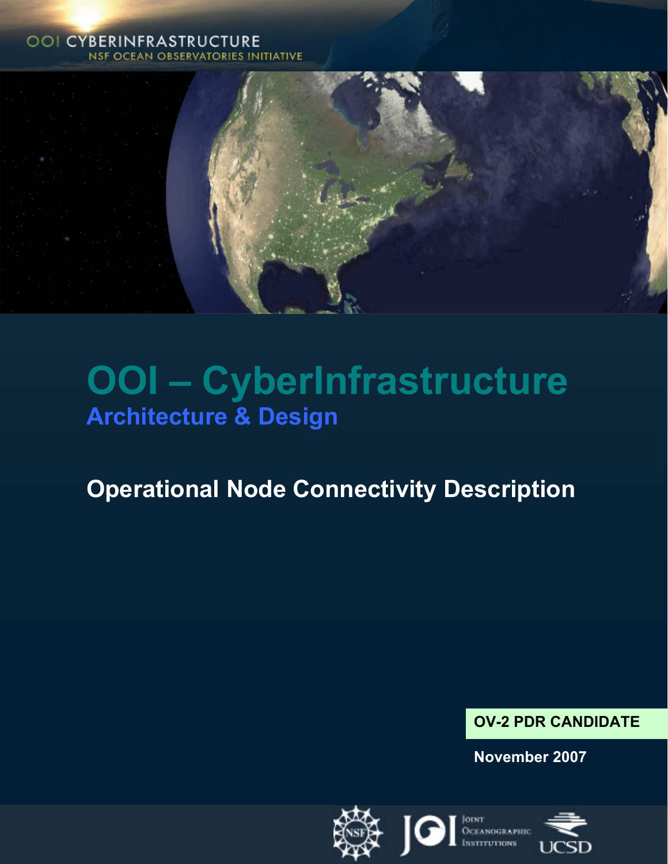#### **OOI CYBERINFRASTRUCTURE NSF OCEAN OBSERVATORIES INITIATIVE**



# **OOI – CyberInfrastructure Architecture & Design**

## **Operational Node Connectivity Description**

### **OV-2 PDR CANDIDATE**

**November 2007** 

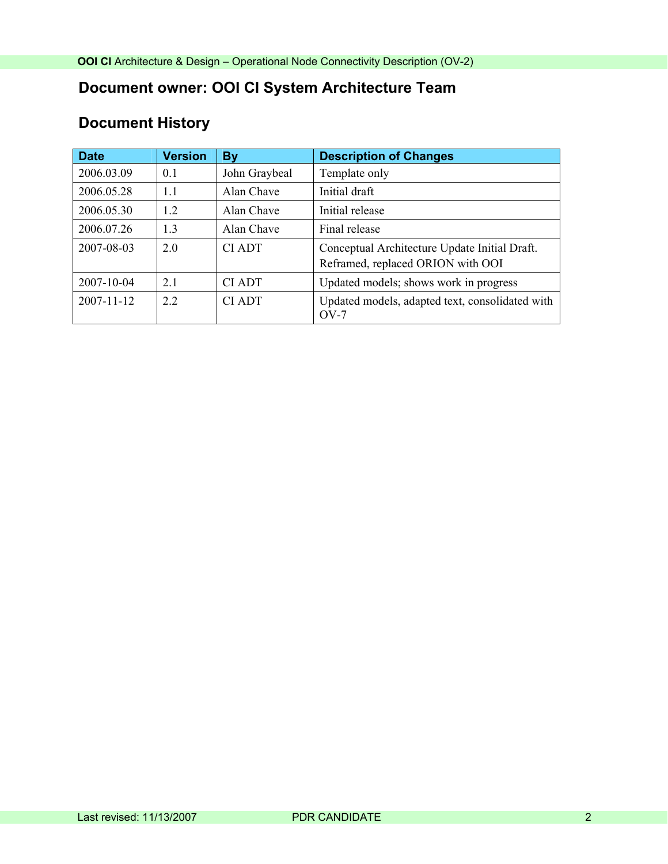## **Document owner: OOI CI System Architecture Team**

## **Document History**

| <b>Date</b>      | <b>Version</b> | <b>By</b>     | <b>Description of Changes</b>                                                      |
|------------------|----------------|---------------|------------------------------------------------------------------------------------|
| 2006.03.09       | 0.1            | John Graybeal | Template only                                                                      |
| 2006.05.28       | 1.1            | Alan Chave    | Initial draft                                                                      |
| 2006.05.30       | 1.2            | Alan Chave    | Initial release                                                                    |
| 2006.07.26       | 1.3            | Alan Chave    | Final release                                                                      |
| 2007-08-03       | 2.0            | <b>CIADT</b>  | Conceptual Architecture Update Initial Draft.<br>Reframed, replaced ORION with OOI |
| 2007-10-04       | 2.1            | <b>CIADT</b>  | Updated models; shows work in progress                                             |
| $2007 - 11 - 12$ | 22             | <b>CIADT</b>  | Updated models, adapted text, consolidated with<br>$OV-7$                          |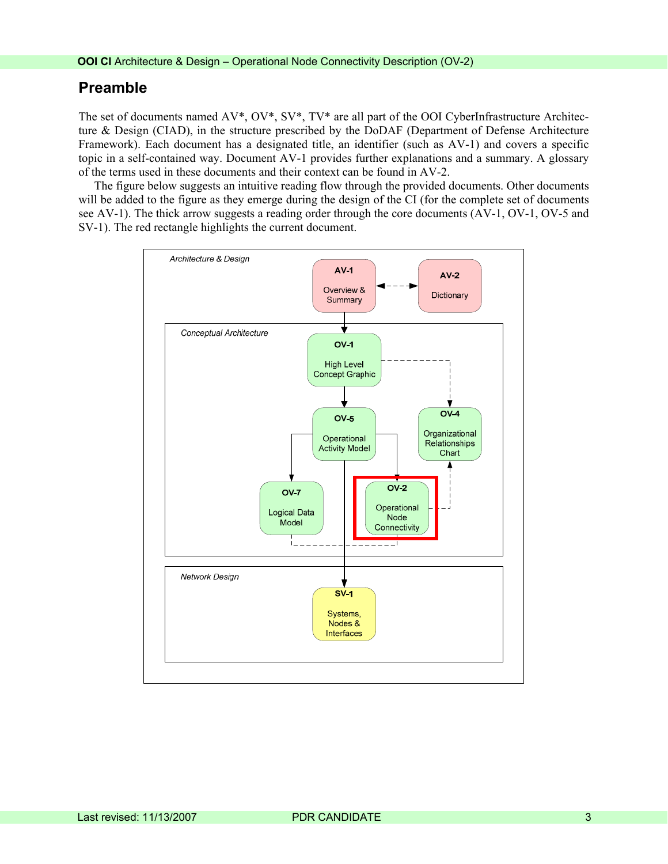#### **Preamble**

The set of documents named AV\*, OV\*, SV\*, TV\* are all part of the OOI CyberInfrastructure Architecture & Design (CIAD), in the structure prescribed by the DoDAF (Department of Defense Architecture Framework). Each document has a designated title, an identifier (such as AV-1) and covers a specific topic in a self-contained way. Document AV-1 provides further explanations and a summary. A glossary of the terms used in these documents and their context can be found in AV-2.

The figure below suggests an intuitive reading flow through the provided documents. Other documents will be added to the figure as they emerge during the design of the CI (for the complete set of documents see AV-1). The thick arrow suggests a reading order through the core documents (AV-1, OV-1, OV-5 and SV-1). The red rectangle highlights the current document.

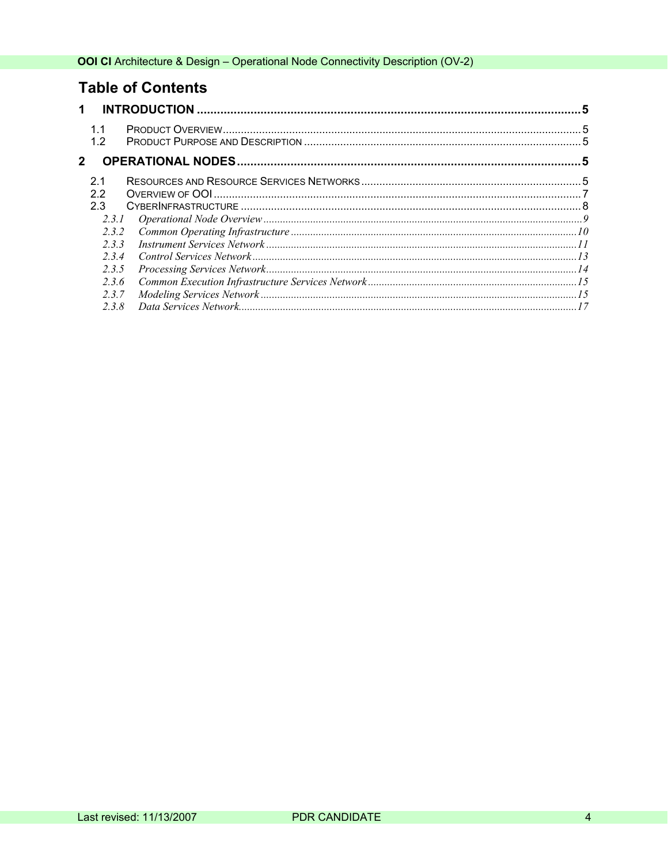## **Table of Contents**

| 1            |           |  |  |  |
|--------------|-----------|--|--|--|
|              | 1.1<br>12 |  |  |  |
| $\mathbf{2}$ |           |  |  |  |
|              | 2.1       |  |  |  |
|              | 2.2       |  |  |  |
|              | 2.3       |  |  |  |
|              | 2.3.1     |  |  |  |
|              | 232       |  |  |  |
|              | 233       |  |  |  |
|              | 234       |  |  |  |
|              | 2.3.5     |  |  |  |
|              | 2.3.6     |  |  |  |
|              | 2.3.7     |  |  |  |
|              | 2.3.8     |  |  |  |
|              |           |  |  |  |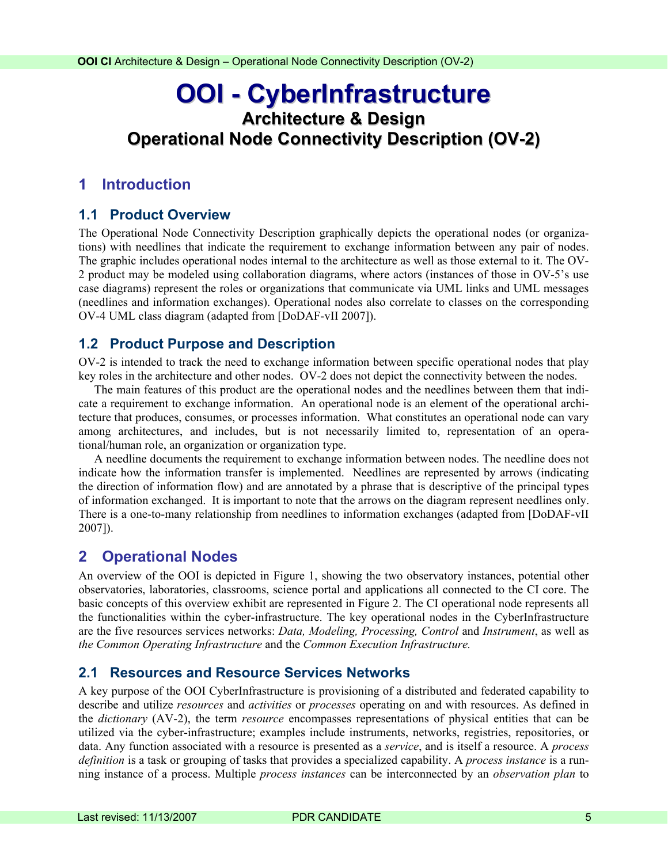## <span id="page-4-0"></span>**OOI - CyberInfrastructure Architecture & Design Operational Node Connectivity Description (OV-2)**

#### **1 Introduction**

#### **1.1 Product Overview**

The Operational Node Connectivity Description graphically depicts the operational nodes (or organizations) with needlines that indicate the requirement to exchange information between any pair of nodes. The graphic includes operational nodes internal to the architecture as well as those external to it. The OV-2 product may be modeled using collaboration diagrams, where actors (instances of those in OV-5's use case diagrams) represent the roles or organizations that communicate via UML links and UML messages (needlines and information exchanges). Operational nodes also correlate to classes on the corresponding OV-4 UML class diagram (adapted from [DoDAF-vII 2007]).

#### **1.2 Product Purpose and Description**

OV-2 is intended to track the need to exchange information between specific operational nodes that play key roles in the architecture and other nodes. OV-2 does not depict the connectivity between the nodes.

The main features of this product are the operational nodes and the needlines between them that indicate a requirement to exchange information. An operational node is an element of the operational architecture that produces, consumes, or processes information. What constitutes an operational node can vary among architectures, and includes, but is not necessarily limited to, representation of an operational/human role, an organization or organization type.

A needline documents the requirement to exchange information between nodes. The needline does not indicate how the information transfer is implemented. Needlines are represented by arrows (indicating the direction of information flow) and are annotated by a phrase that is descriptive of the principal types of information exchanged. It is important to note that the arrows on the diagram represent needlines only. There is a one-to-many relationship from needlines to information exchanges (adapted from [DoDAF-vII 2007]).

#### **2 Operational Nodes**

An overview of the OOI is depicted in [Figure 1](#page-5-0), showing the two observatory instances, potential other observatories, laboratories, classrooms, science portal and applications all connected to the CI core. The basic concepts of this overview exhibit are represented in Figure 2. The CI operational node represents all the functionalities within the cyber-infrastructure. The key operational nodes in the CyberInfrastructure are the five resources services networks: *Data, Modeling, Processing, Control* and *Instrument*, as well as *the Common Operating Infrastructure* and the *Common Execution Infrastructure.* 

#### **2.1 Resources and Resource Services Networks**

A key purpose of the OOI CyberInfrastructure is provisioning of a distributed and federated capability to describe and utilize *resources* and *activities* or *processes* operating on and with resources. As defined in the *dictionary* (AV-2), the term *resource* encompasses representations of physical entities that can be utilized via the cyber-infrastructure; examples include instruments, networks, registries, repositories, or data. Any function associated with a resource is presented as a *service*, and is itself a resource. A *process definition* is a task or grouping of tasks that provides a specialized capability. A *process instance* is a running instance of a process. Multiple *process instances* can be interconnected by an *observation plan* to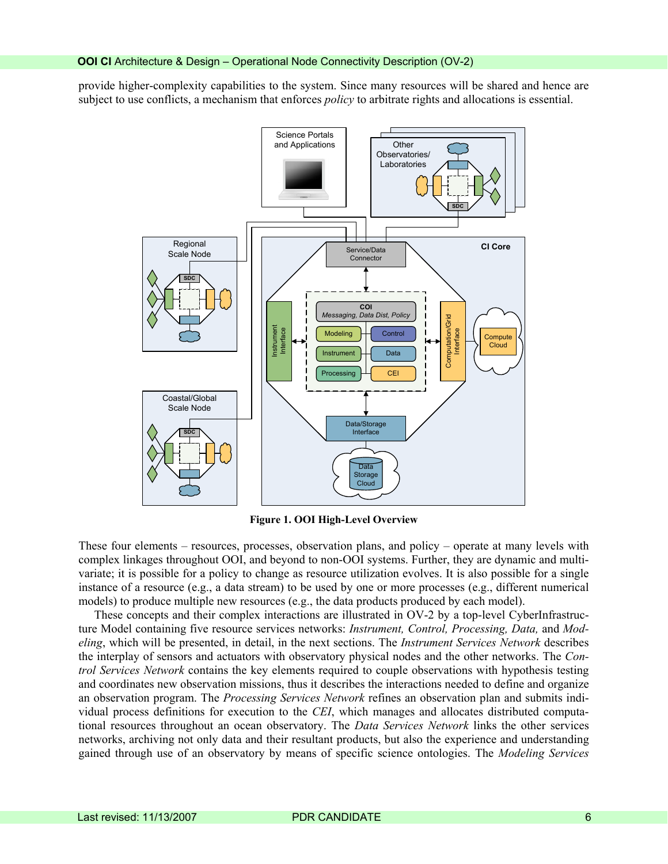provide higher-complexity capabilities to the system. Since many resources will be shared and hence are subject to use conflicts, a mechanism that enforces *policy* to arbitrate rights and allocations is essential.



**Figure 1. OOI High-Level Overview** 

<span id="page-5-0"></span>These four elements – resources, processes, observation plans, and policy – operate at many levels with complex linkages throughout OOI, and beyond to non-OOI systems. Further, they are dynamic and multivariate; it is possible for a policy to change as resource utilization evolves. It is also possible for a single instance of a resource (e.g., a data stream) to be used by one or more processes (e.g., different numerical models) to produce multiple new resources (e.g., the data products produced by each model).

These concepts and their complex interactions are illustrated in OV-2 by a top-level CyberInfrastructure Model containing five resource services networks: *Instrument, Control, Processing, Data,* and *Modeling*, which will be presented, in detail, in the next sections. The *Instrument Services Network* describes the interplay of sensors and actuators with observatory physical nodes and the other networks. The *Control Services Network* contains the key elements required to couple observations with hypothesis testing and coordinates new observation missions, thus it describes the interactions needed to define and organize an observation program. The *Processing Services Network* refines an observation plan and submits individual process definitions for execution to the *CEI*, which manages and allocates distributed computational resources throughout an ocean observatory. The *Data Services Network* links the other services networks, archiving not only data and their resultant products, but also the experience and understanding gained through use of an observatory by means of specific science ontologies. The *Modeling Services*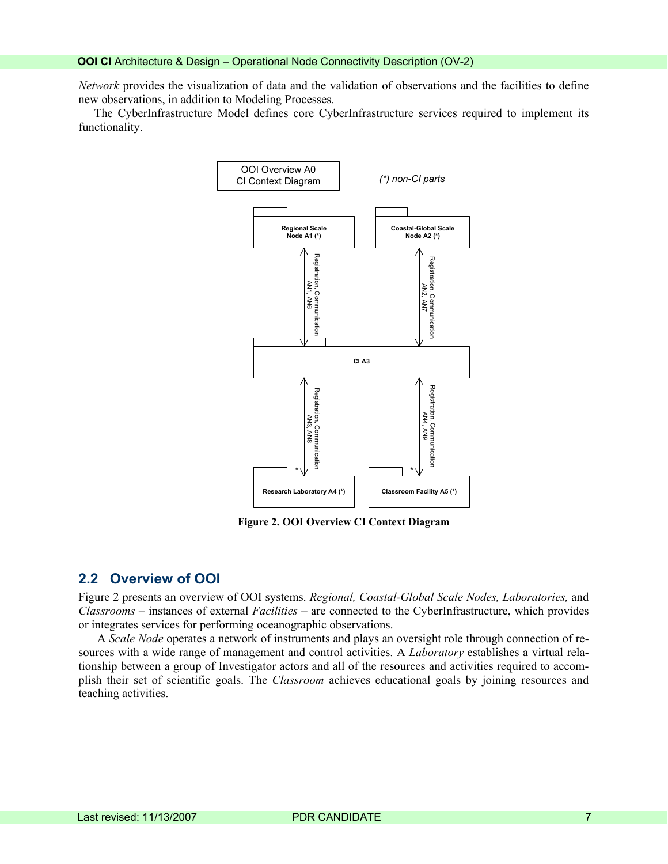<span id="page-6-0"></span>*Network* provides the visualization of data and the validation of observations and the facilities to define new observations, in addition to Modeling Processes.

The CyberInfrastructure Model defines core CyberInfrastructure services required to implement its functionality.



**Figure 2. OOI Overview CI Context Diagram** 

#### **2.2 Overview of OOI**

Figure 2 presents an overview of OOI systems. *Regional, Coastal-Global Scale Nodes, Laboratories,* and *Classrooms* – instances of external *Facilities* – are connected to the CyberInfrastructure, which provides or integrates services for performing oceanographic observations.

plish their set of scientific goals. The *Classroom* achieves educational goals by joining resources and teaching activities. A *Scale Node* operates a network of instruments and plays an oversight role through connection of resources with a wide range of management and control activities. A *Laboratory* establishes a virtual relationship between a group of Investigator actors and all of the resources and activities required to accom-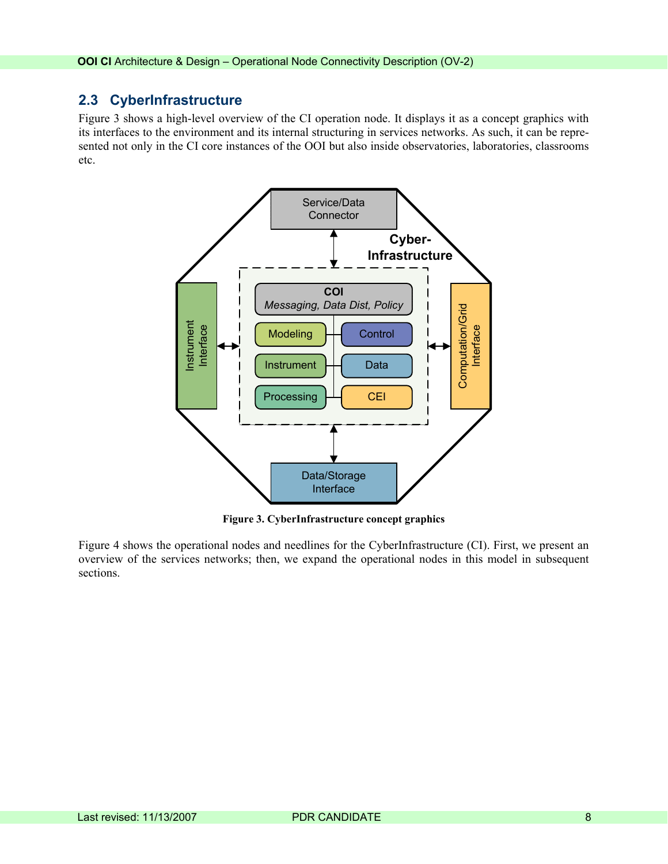#### <span id="page-7-0"></span>**2.3 CyberInfrastructure**

[Figure 3](#page-7-1) shows a high-level overview of the CI operation node. It displays it as a concept graphics with its interfaces to the environment and its internal structuring in services networks. As such, it can be represented not only in the CI core instances of the OOI but also inside observatories, laboratories, classrooms etc.



**Figure 3. CyberInfrastructure concept graphics** 

<span id="page-7-1"></span>Figure 4 shows the operational nodes and needlines for the CyberInfrastructure (CI). First, we present an overview of the services networks; then, we expand the operational nodes in this model in subsequent sections.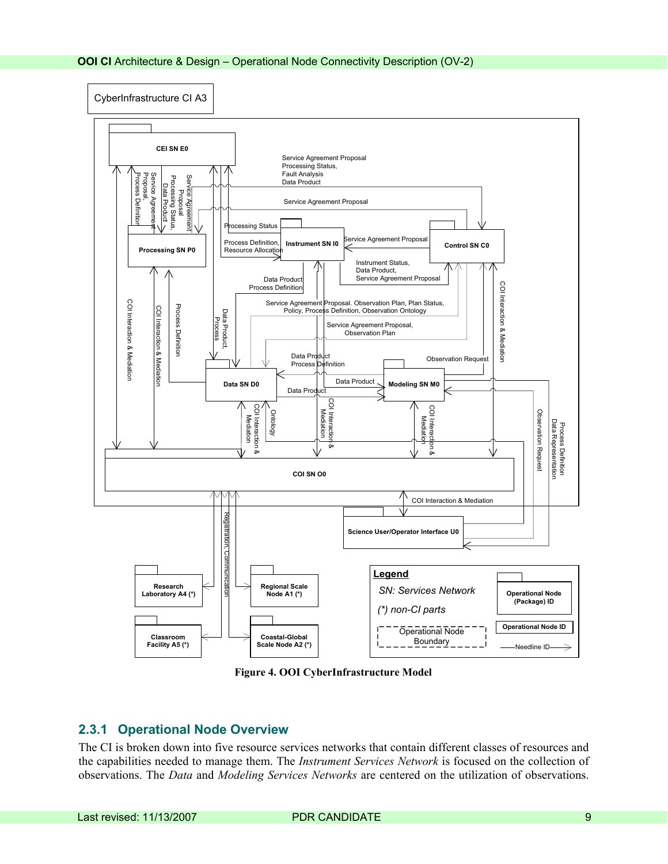<span id="page-8-0"></span>

**Figure 4. OOI CyberInfrastructure Model** 

#### **2.3.1 Operational Node Overview**

The CI is broken down into five resource services networks that contain different classes of resources and the capabilities needed to manage them. The *Instrument Services Network* is focused on the collection of observations. The *Data* and *Modeling Services Networks* are centered on the utilization of observations.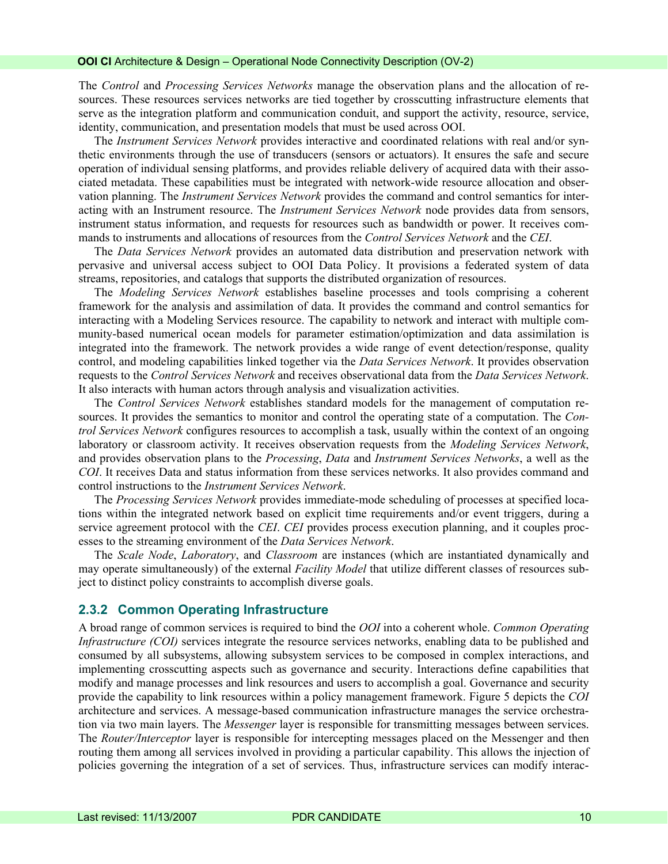<span id="page-9-0"></span>The *Control* and *Processing Services Networks* manage the observation plans and the allocation of resources. These resources services networks are tied together by crosscutting infrastructure elements that serve as the integration platform and communication conduit, and support the activity, resource, service, identity, communication, and presentation models that must be used across OOI.

The *Instrument Services Network* provides interactive and coordinated relations with real and/or synthetic environments through the use of transducers (sensors or actuators). It ensures the safe and secure operation of individual sensing platforms, and provides reliable delivery of acquired data with their associated metadata. These capabilities must be integrated with network-wide resource allocation and observation planning. The *Instrument Services Network* provides the command and control semantics for interacting with an Instrument resource. The *Instrument Services Network* node provides data from sensors, instrument status information, and requests for resources such as bandwidth or power. It receives commands to instruments and allocations of resources from the *Control Services Network* and the *CEI*.

The *Data Services Network* provides an automated data distribution and preservation network with pervasive and universal access subject to OOI Data Policy. It provisions a federated system of data streams, repositories, and catalogs that supports the distributed organization of resources.

The *Modeling Services Network* establishes baseline processes and tools comprising a coherent framework for the analysis and assimilation of data. It provides the command and control semantics for interacting with a Modeling Services resource. The capability to network and interact with multiple community-based numerical ocean models for parameter estimation/optimization and data assimilation is integrated into the framework. The network provides a wide range of event detection/response, quality control, and modeling capabilities linked together via the *Data Services Network*. It provides observation requests to the *Control Services Network* and receives observational data from the *Data Services Network*. It also interacts with human actors through analysis and visualization activities.

The *Control Services Network* establishes standard models for the management of computation resources. It provides the semantics to monitor and control the operating state of a computation. The *Control Services Network* configures resources to accomplish a task, usually within the context of an ongoing laboratory or classroom activity. It receives observation requests from the *Modeling Services Network*, and provides observation plans to the *Processing*, *Data* and *Instrument Services Networks*, a well as the *COI*. It receives Data and status information from these services networks. It also provides command and control instructions to the *Instrument Services Network*.

The *Processing Services Network* provides immediate-mode scheduling of processes at specified locations within the integrated network based on explicit time requirements and/or event triggers, during a service agreement protocol with the *CEI*. *CEI* provides process execution planning, and it couples processes to the streaming environment of the *Data Services Network*.

The *Scale Node*, *Laboratory*, and *Classroom* are instances (which are instantiated dynamically and may operate simultaneously) of the external *Facility Model* that utilize different classes of resources subject to distinct policy constraints to accomplish diverse goals.

#### **2.3.2 Common Operating Infrastructure**

A broad range of common services is required to bind the *OOI* into a coherent whole. *Common Operating Infrastructure (COI)* services integrate the resource services networks, enabling data to be published and consumed by all subsystems, allowing subsystem services to be composed in complex interactions, and implementing crosscutting aspects such as governance and security. Interactions define capabilities that modify and manage processes and link resources and users to accomplish a goal. Governance and security provide the capability to link resources within a policy management framework. Figure 5 depicts the *COI* architecture and services. A message-based communication infrastructure manages the service orchestration via two main layers. The *Messenger* layer is responsible for transmitting messages between services. The *Router/Interceptor* layer is responsible for intercepting messages placed on the Messenger and then routing them among all services involved in providing a particular capability. This allows the injection of policies governing the integration of a set of services. Thus, infrastructure services can modify interac-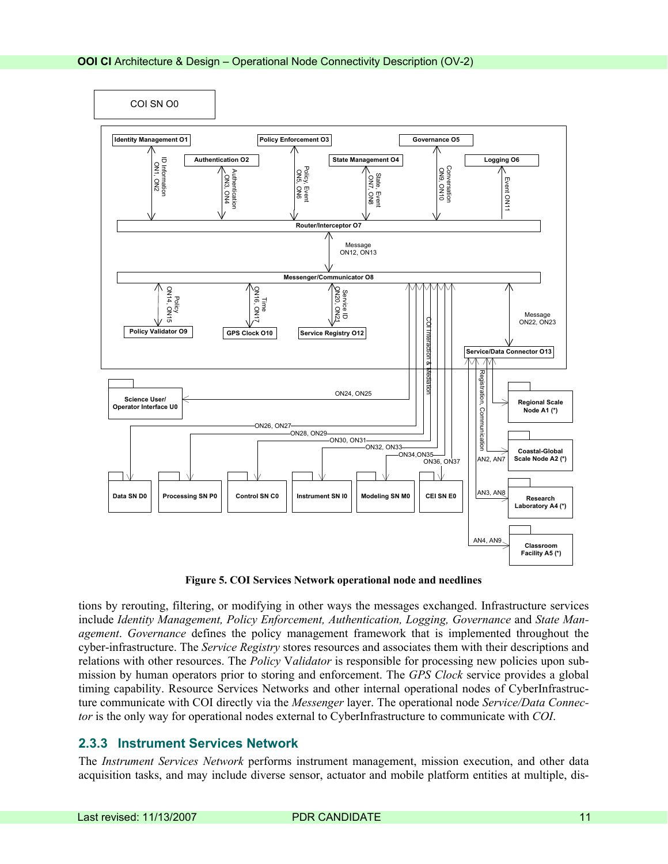<span id="page-10-0"></span>

**Figure 5. COI Services Network operational node and needlines** 

tions by rerouting, filtering, or modifying in other ways the messages exchanged. Infrastructure services include *Identity Management, Policy Enforcement, Authentication, Logging, Governance* and *State Management*. *Governance* defines the policy management framework that is implemented throughout the cyber-infrastructure. The *Service Registry* stores resources and associates them with their descriptions and relations with other resources. The *Policy* V*alidator* is responsible for processing new policies upon submission by human operators prior to storing and enforcement. The *GPS Clock* service provides a global timing capability. Resource Services Networks and other internal operational nodes of CyberInfrastructure communicate with COI directly via the *Messenger* layer. The operational node *Service/Data Connector* is the only way for operational nodes external to CyberInfrastructure to communicate with *COI*.

#### **2.3.3 Instrument Services Network**

The *Instrument Services Network* performs instrument management, mission execution, and other data acquisition tasks, and may include diverse sensor, actuator and mobile platform entities at multiple, dis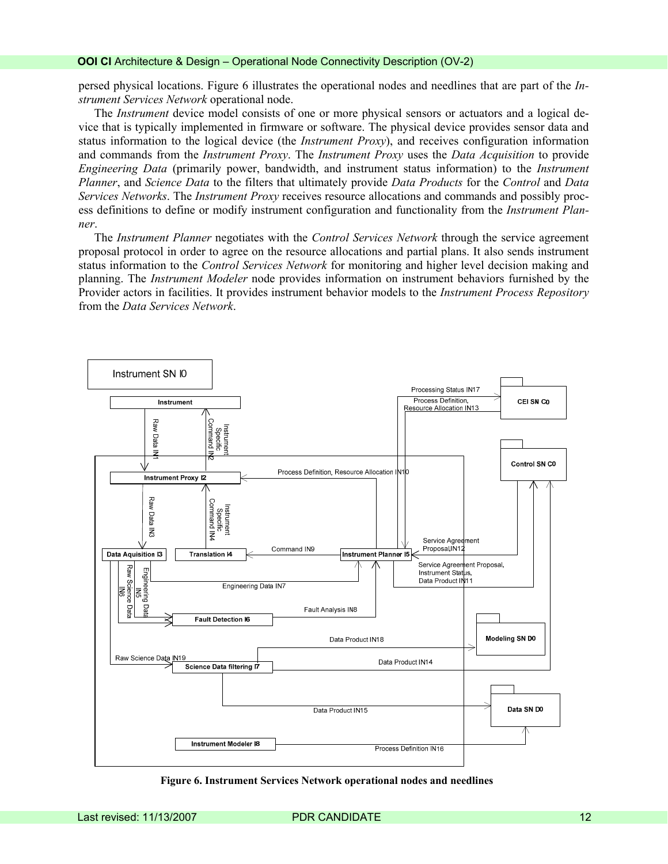persed physical locations. Figure 6 illustrates the operational nodes and needlines that are part of the *Instrument Services Network* operational node.

The *Instrument* device model consists of one or more physical sensors or actuators and a logical device that is typically implemented in firmware or software. The physical device provides sensor data and status information to the logical device (the *Instrument Proxy*), and receives configuration information and commands from the *Instrument Proxy*. The *Instrument Proxy* uses the *Data Acquisition* to provide *Engineering Data* (primarily power, bandwidth, and instrument status information) to the *Instrument Planner*, and *Science Data* to the filters that ultimately provide *Data Products* for the *Control* and *Data Services Networks*. The *Instrument Proxy* receives resource allocations and commands and possibly process definitions to define or modify instrument configuration and functionality from the *Instrument Planner*.

The *Instrument Planner* negotiates with the *Control Services Network* through the service agreement proposal protocol in order to agree on the resource allocations and partial plans. It also sends instrument status information to the *Control Services Network* for monitoring and higher level decision making and planning. The *Instrument Modeler* node provides information on instrument behaviors furnished by the Provider actors in facilities. It provides instrument behavior models to the *Instrument Process Repository* from the *Data Services Network*.



**Figure 6. Instrument Services Network operational nodes and needlines**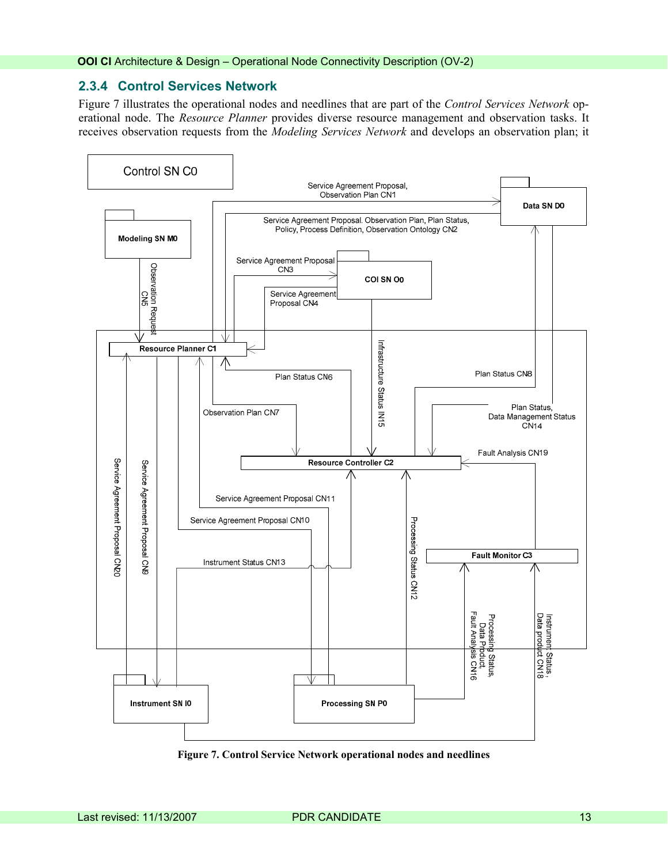#### <span id="page-12-0"></span>**2.3.4 Control Services Network**

Figure 7 illustrates the operational nodes and needlines that are part of the *Control Services Network* operational node. The *Resource Planner* provides diverse resource management and observation tasks. It receives observation requests from the *Modeling Services Network* and develops an observation plan; it



**Figure 7. Control Service Network operational nodes and needlines**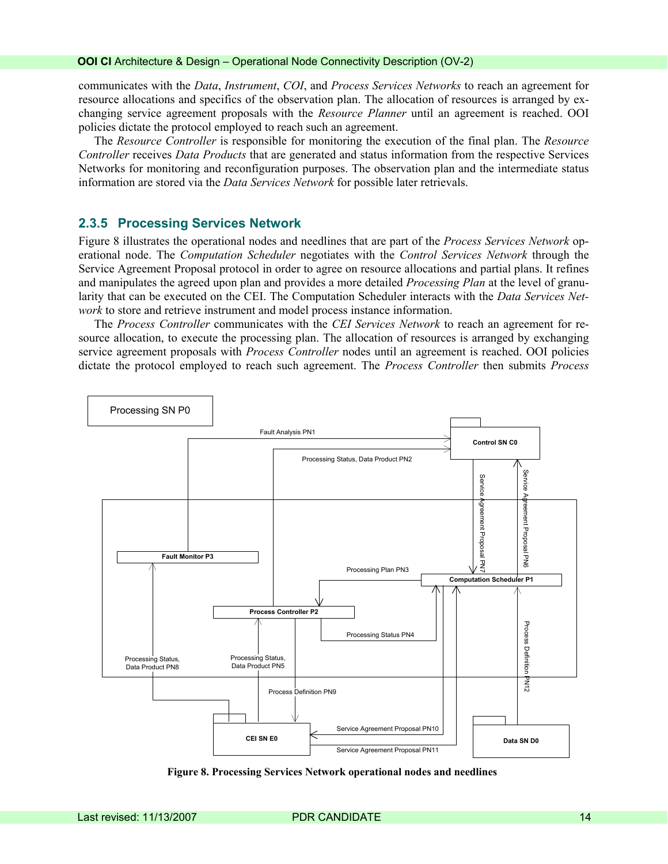<span id="page-13-0"></span>communicates with the *Data*, *Instrument*, *COI*, and *Process Services Networks* to reach an agreement for resource allocations and specifics of the observation plan. The allocation of resources is arranged by exchanging service agreement proposals with the *Resource Planner* until an agreement is reached. OOI policies dictate the protocol employed to reach such an agreement.

The *Resource Controller* is responsible for monitoring the execution of the final plan. The *Resource Controller* receives *Data Products* that are generated and status information from the respective Services Networks for monitoring and reconfiguration purposes. The observation plan and the intermediate status information are stored via the *Data Services Network* for possible later retrievals.

#### **2.3.5 Processing Services Network**

Figure 8 illustrates the operational nodes and needlines that are part of the *Process Services Network* operational node. The *Computation Scheduler* negotiates with the *Control Services Network* through the Service Agreement Proposal protocol in order to agree on resource allocations and partial plans. It refines and manipulates the agreed upon plan and provides a more detailed *Processing Plan* at the level of granularity that can be executed on the CEI. The Computation Scheduler interacts with the *Data Services Network* to store and retrieve instrument and model process instance information.

The *Process Controller* communicates with the *CEI Services Network* to reach an agreement for resource allocation, to execute the processing plan. The allocation of resources is arranged by exchanging service agreement proposals with *Process Controller* nodes until an agreement is reached. OOI policies dictate the protocol employed to reach such agreement. The *Process Controller* then submits *Process*



**Figure 8. Processing Services Network operational nodes and needlines**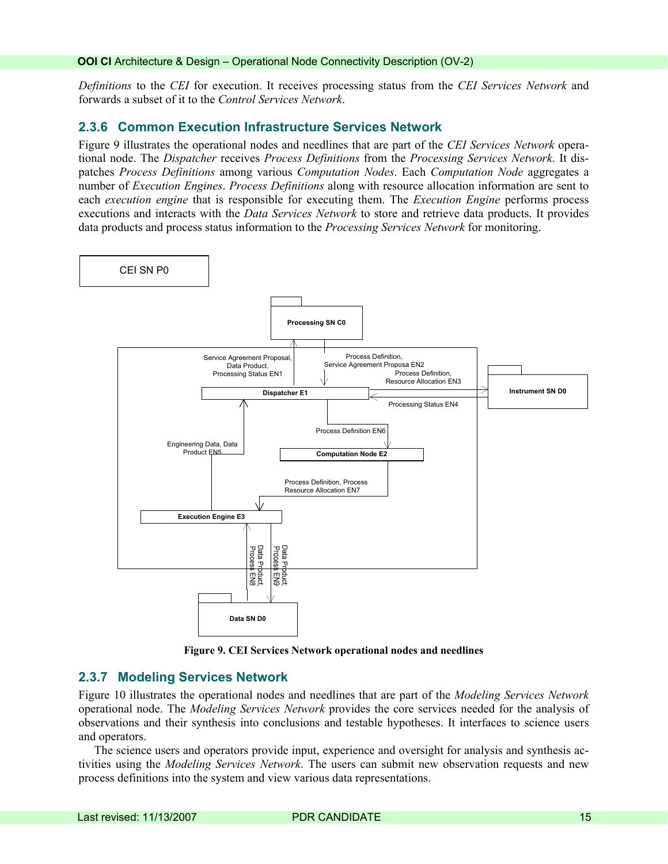<span id="page-14-0"></span>*Definitions* to the *CEI* for execution. It receives processing status from the *CEI Services Network* and forwards a subset of it to the *Control Services Network*.

#### **2.3.6 Common Execution Infrastructure Services Network**

[Figure 9](#page-14-1) illustrates the operational nodes and needlines that are part of the *CEI Services Network* operational node. The *Dispatcher* receives *Process Definitions* from the *Processing Services Network*. It dispatches *Process Definitions* among various *Computation Nodes*. Each *Computation Node* aggregates a number of *Execution Engines*. *Process Definitions* along with resource allocation information are sent to each *execution engine* that is responsible for executing them. The *Execution Engine* performs process executions and interacts with the *Data Services Network* to store and retrieve data products. It provides data products and process status information to the *Processing Services Network* for monitoring.



**Figure 9. CEI Services Network operational nodes and needlines** 

#### <span id="page-14-1"></span>**2.3.7 Modeling Services Network**

Figure 10 illustrates the operational nodes and needlines that are part of the *Modeling Services Network* operational node. The *Modeling Services Network* provides the core services needed for the analysis of observations and their synthesis into conclusions and testable hypotheses. It interfaces to science users and operators.

The science users and operators provide input, experience and oversight for analysis and synthesis activities using the *Modeling Services Network*. The users can submit new observation requests and new process definitions into the system and view various data representations.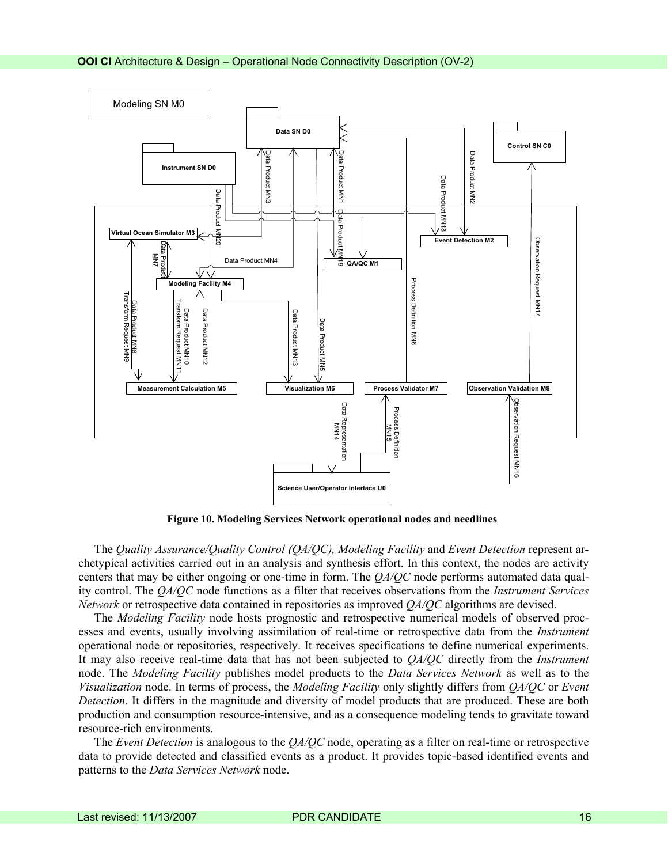

**Figure 10. Modeling Services Network operational nodes and needlines** 

The *Quality Assurance/Quality Control (QA/QC), Modeling Facility* and *Event Detection* represent archetypical activities carried out in an analysis and synthesis effort. In this context, the nodes are activity centers that may be either ongoing or one-time in form. The *QA/QC* node performs automated data quality control. The *QA/QC* node functions as a filter that receives observations from the *Instrument Services Network* or retrospective data contained in repositories as improved *QA/QC* algorithms are devised.

The *Modeling Facility* node hosts prognostic and retrospective numerical models of observed processes and events, usually involving assimilation of real-time or retrospective data from the *Instrument* operational node or repositories, respectively. It receives specifications to define numerical experiments. It may also receive real-time data that has not been subjected to *QA/QC* directly from the *Instrument* node. The *Modeling Facility* publishes model products to the *Data Services Network* as well as to the *Visualization* node. In terms of process, the *Modeling Facility* only slightly differs from *QA/QC* or *Event Detection*. It differs in the magnitude and diversity of model products that are produced. These are both production and consumption resource-intensive, and as a consequence modeling tends to gravitate toward resource-rich environments.

The *Event Detection* is analogous to the *QA/QC* node, operating as a filter on real-time or retrospective data to provide detected and classified events as a product. It provides topic-based identified events and patterns to the *Data Services Network* node.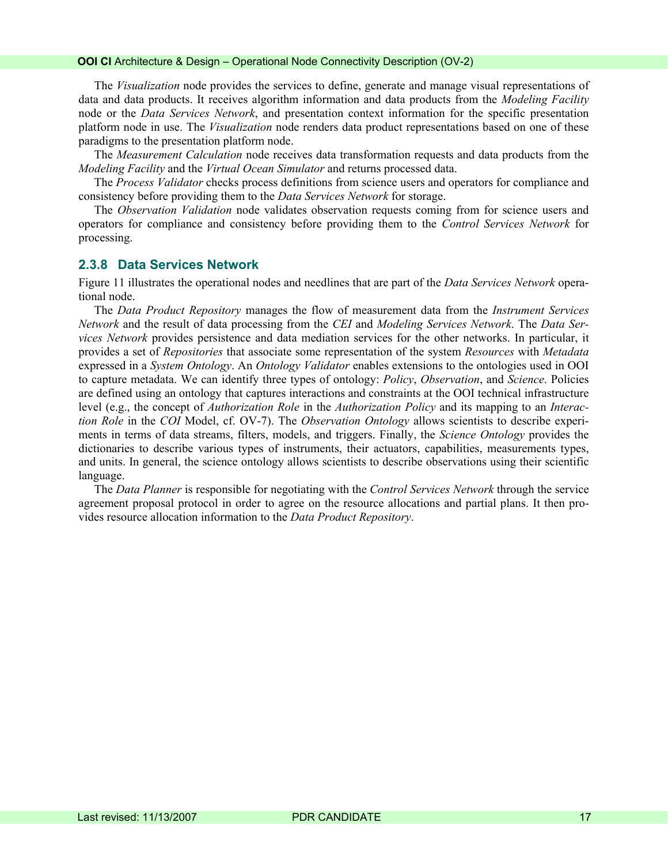#### <span id="page-16-0"></span>**OOI CI** Architecture & Design – Operational Node Connectivity Description (OV-2)

The *Visualization* node provides the services to define, generate and manage visual representations of data and data products. It receives algorithm information and data products from the *Modeling Facility* node or the *Data Services Network*, and presentation context information for the specific presentation platform node in use. The *Visualization* node renders data product representations based on one of these paradigms to the presentation platform node.

The *Measurement Calculation* node receives data transformation requests and data products from the *Modeling Facility* and the *Virtual Ocean Simulator* and returns processed data.

The *Process Validator* checks process definitions from science users and operators for compliance and consistency before providing them to the *Data Services Network* for storage.

The *Observation Validation* node validates observation requests coming from for science users and operators for compliance and consistency before providing them to the *Control Services Network* for processing.

#### **2.3.8 Data Services Network**

Figure 11 illustrates the operational nodes and needlines that are part of the *Data Services Network* operational node.

The *Data Product Repository* manages the flow of measurement data from the *Instrument Services Network* and the result of data processing from the *CEI* and *Modeling Services Network*. The *Data Services Network* provides persistence and data mediation services for the other networks. In particular, it provides a set of *Repositories* that associate some representation of the system *Resources* with *Metadata* expressed in a *System Ontology*. An *Ontology Validator* enables extensions to the ontologies used in OOI to capture metadata. We can identify three types of ontology: *Policy*, *Observation*, and *Science*. Policies are defined using an ontology that captures interactions and constraints at the OOI technical infrastructure level (e.g., the concept of *Authorization Role* in the *Authorization Policy* and its mapping to an *Interaction Role* in the *COI* Model, cf. OV-7). The *Observation Ontology* allows scientists to describe experiments in terms of data streams, filters, models, and triggers. Finally, the *Science Ontology* provides the dictionaries to describe various types of instruments, their actuators, capabilities, measurements types, and units. In general, the science ontology allows scientists to describe observations using their scientific language.

The *Data Planner* is responsible for negotiating with the *Control Services Network* through the service agreement proposal protocol in order to agree on the resource allocations and partial plans. It then provides resource allocation information to the *Data Product Repository*.